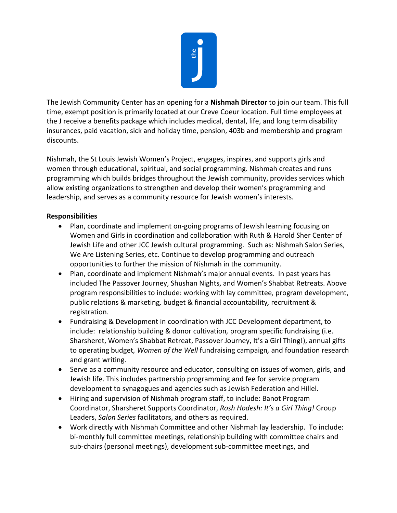

The Jewish Community Center has an opening for a **Nishmah Director** to join our team. This full time, exempt position is primarily located at our Creve Coeur location. Full time employees at the J receive a benefits package which includes medical, dental, life, and long term disability insurances, paid vacation, sick and holiday time, pension, 403b and membership and program discounts.

Nishmah, the St Louis Jewish Women's Project, engages, inspires, and supports girls and women through educational, spiritual, and social programming. Nishmah creates and runs programming which builds bridges throughout the Jewish community, provides services which allow existing organizations to strengthen and develop their women's programming and leadership, and serves as a community resource for Jewish women's interests.

## **Responsibilities**

- Plan, coordinate and implement on-going programs of Jewish learning focusing on Women and Girls in coordination and collaboration with Ruth & Harold Sher Center of Jewish Life and other JCC Jewish cultural programming. Such as: Nishmah Salon Series, We Are Listening Series, etc. Continue to develop programming and outreach opportunities to further the mission of Nishmah in the community.
- Plan, coordinate and implement Nishmah's major annual events. In past years has included The Passover Journey, Shushan Nights, and Women's Shabbat Retreats. Above program responsibilities to include: working with lay committee*,* program development, public relations & marketing*,* budget & financial accountability*,* recruitment & registration.
- Fundraising & Development in coordination with JCC Development department, to include: relationship building & donor cultivation*,* program specific fundraising (i.e. Sharsheret, Women's Shabbat Retreat, Passover Journey, It's a Girl Thing!), annual gifts to operating budget*, Women of the Well* fundraising campaign*,* and foundation research and grant writing.
- Serve as a community resource and educator, consulting on issues of women, girls, and Jewish life. This includes partnership programming and fee for service program development to synagogues and agencies such as Jewish Federation and Hillel.
- Hiring and supervision of Nishmah program staff, to include: Banot Program Coordinator, Sharsheret Supports Coordinator, *Rosh Hodesh: It's a Girl Thing!* Group Leaders, *Salon Series* facilitators, and others as required.
- Work directly with Nishmah Committee and other Nishmah lay leadership. To include: bi-monthly full committee meetings, relationship building with committee chairs and sub-chairs (personal meetings), development sub-committee meetings, and